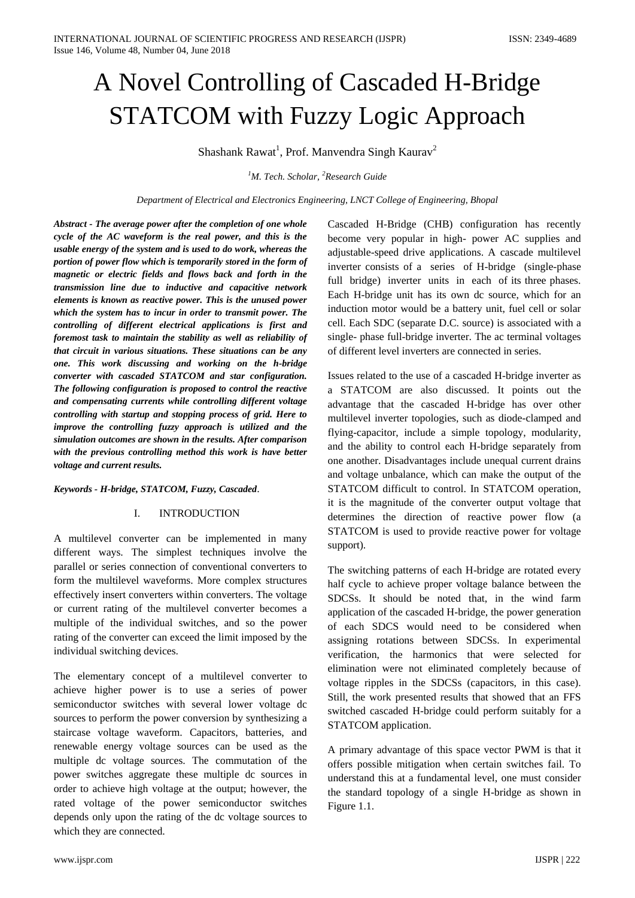# A Novel Controlling of Cascaded H-Bridge STATCOM with Fuzzy Logic Approach

Shashank Rawat<sup>1</sup>, Prof. Manvendra Singh Kaurav<sup>2</sup>

*<sup>1</sup>M. Tech. Scholar, <sup>2</sup>Research Guide*

*Department of Electrical and Electronics Engineering, LNCT College of Engineering, Bhopal*

*Abstract - The average power after the completion of one whole cycle of the AC waveform is the real power, and this is the usable energy of the system and is used to do work, whereas the portion of power flow which is temporarily stored in the form of magnetic or electric fields and flows back and forth in the transmission line due to inductive and capacitive network elements is known as reactive power. This is the unused power which the system has to incur in order to transmit power. The controlling of different electrical applications is first and foremost task to maintain the stability as well as reliability of that circuit in various situations. These situations can be any one. This work discussing and working on the h-bridge converter with cascaded STATCOM and star configuration. The following configuration is proposed to control the reactive and compensating currents while controlling different voltage controlling with startup and stopping process of grid. Here to improve the controlling fuzzy approach is utilized and the simulation outcomes are shown in the results. After comparison with the previous controlling method this work is have better voltage and current results.*

*Keywords - H-bridge, STATCOM, Fuzzy, Cascaded*.

#### I. INTRODUCTION

A multilevel converter can be implemented in many different ways. The simplest techniques involve the parallel or series connection of conventional converters to form the multilevel waveforms. More complex structures effectively insert converters within converters. The voltage or current rating of the multilevel converter becomes a multiple of the individual switches, and so the power rating of the converter can exceed the limit imposed by the individual switching devices.

The elementary concept of a multilevel converter to achieve higher power is to use a series of power semiconductor switches with several lower voltage dc sources to perform the power conversion by synthesizing a staircase voltage waveform. Capacitors, batteries, and renewable energy voltage sources can be used as the multiple dc voltage sources. The commutation of the power switches aggregate these multiple dc sources in order to achieve high voltage at the output; however, the rated voltage of the power semiconductor switches depends only upon the rating of the dc voltage sources to which they are connected.

Cascaded H-Bridge (CHB) configuration has recently become very popular in high- power AC supplies and adjustable-speed drive applications. A cascade multilevel inverter consists of a series of H-bridge (single-phase full bridge) inverter units in each of its three phases. Each H-bridge unit has its own dc source, which for an induction motor would be a battery unit, fuel cell or solar cell. Each SDC (separate D.C. source) is associated with a single- phase full-bridge inverter. The ac terminal voltages of different level inverters are connected in series.

Issues related to the use of a cascaded H-bridge inverter as a STATCOM are also discussed. It points out the advantage that the cascaded H-bridge has over other multilevel inverter topologies, such as diode-clamped and flying-capacitor, include a simple topology, modularity, and the ability to control each H-bridge separately from one another. Disadvantages include unequal current drains and voltage unbalance, which can make the output of the STATCOM difficult to control. In STATCOM operation, it is the magnitude of the converter output voltage that determines the direction of reactive power flow (a STATCOM is used to provide reactive power for voltage support).

The switching patterns of each H-bridge are rotated every half cycle to achieve proper voltage balance between the SDCSs. It should be noted that, in the wind farm application of the cascaded H-bridge, the power generation of each SDCS would need to be considered when assigning rotations between SDCSs. In experimental verification, the harmonics that were selected for elimination were not eliminated completely because of voltage ripples in the SDCSs (capacitors, in this case). Still, the work presented results that showed that an FFS switched cascaded H-bridge could perform suitably for a STATCOM application.

A primary advantage of this space vector PWM is that it offers possible mitigation when certain switches fail. To understand this at a fundamental level, one must consider the standard topology of a single H-bridge as shown in Figure 1.1.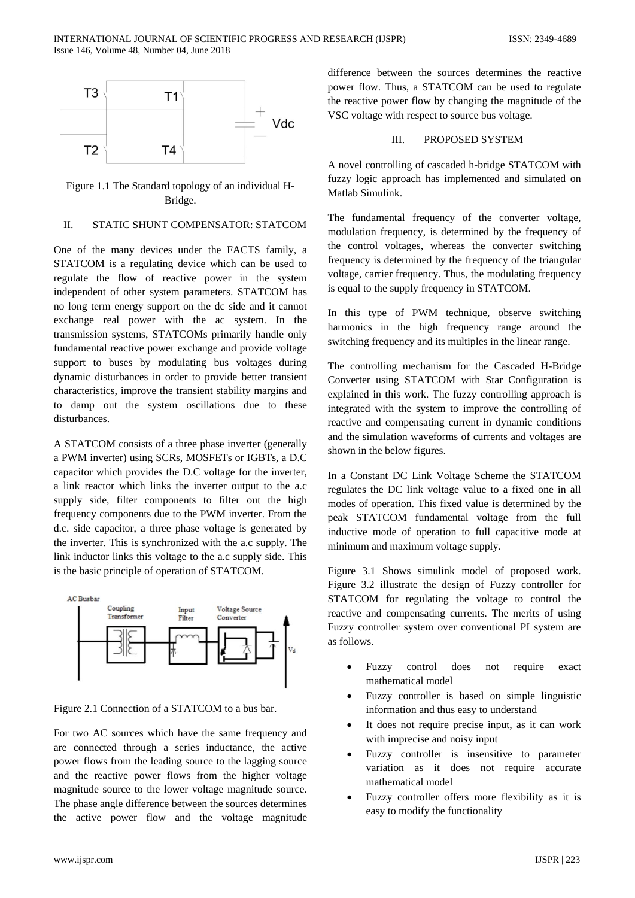

Figure 1.1 The Standard topology of an individual H-Bridge.

# II. STATIC SHUNT COMPENSATOR: STATCOM

One of the many devices under the FACTS family, a STATCOM is a regulating device which can be used to regulate the flow of reactive power in the system independent of other system parameters. STATCOM has no long term energy support on the dc side and it cannot exchange real power with the ac system. In the transmission systems, STATCOMs primarily handle only fundamental reactive power exchange and provide voltage support to buses by modulating bus voltages during dynamic disturbances in order to provide better transient characteristics, improve the transient stability margins and to damp out the system oscillations due to these disturbances.

A STATCOM consists of a three phase inverter (generally a PWM inverter) using SCRs, MOSFETs or IGBTs, a D.C capacitor which provides the D.C voltage for the inverter, a link reactor which links the inverter output to the a.c supply side, filter components to filter out the high frequency components due to the PWM inverter. From the d.c. side capacitor, a three phase voltage is generated by the inverter. This is synchronized with the a.c supply. The link inductor links this voltage to the a.c supply side. This is the basic principle of operation of STATCOM.



Figure 2.1 Connection of a STATCOM to a bus bar.

For two AC sources which have the same frequency and are connected through a series inductance, the active power flows from the leading source to the lagging source and the reactive power flows from the higher voltage magnitude source to the lower voltage magnitude source. The phase angle difference between the sources determines the active power flow and the voltage magnitude

difference between the sources determines the reactive power flow. Thus, a STATCOM can be used to regulate the reactive power flow by changing the magnitude of the VSC voltage with respect to source bus voltage.

#### III. PROPOSED SYSTEM

A novel controlling of cascaded h-bridge STATCOM with fuzzy logic approach has implemented and simulated on Matlab Simulink.

The fundamental frequency of the converter voltage, modulation frequency, is determined by the frequency of the control voltages, whereas the converter switching frequency is determined by the frequency of the triangular voltage, carrier frequency. Thus, the modulating frequency is equal to the supply frequency in STATCOM.

In this type of PWM technique, observe switching harmonics in the high frequency range around the switching frequency and its multiples in the linear range.

The controlling mechanism for the Cascaded H-Bridge Converter using STATCOM with Star Configuration is explained in this work. The fuzzy controlling approach is integrated with the system to improve the controlling of reactive and compensating current in dynamic conditions and the simulation waveforms of currents and voltages are shown in the below figures.

In a Constant DC Link Voltage Scheme the STATCOM regulates the DC link voltage value to a fixed one in all modes of operation. This fixed value is determined by the peak STATCOM fundamental voltage from the full inductive mode of operation to full capacitive mode at minimum and maximum voltage supply.

Figure 3.1 Shows simulink model of proposed work. Figure 3.2 illustrate the design of Fuzzy controller for STATCOM for regulating the voltage to control the reactive and compensating currents. The merits of using Fuzzy controller system over conventional PI system are as follows.

- Fuzzy control does not require exact mathematical model
- Fuzzy controller is based on simple linguistic information and thus easy to understand
- It does not require precise input, as it can work with imprecise and noisy input
- Fuzzy controller is insensitive to parameter variation as it does not require accurate mathematical model
- Fuzzy controller offers more flexibility as it is easy to modify the functionality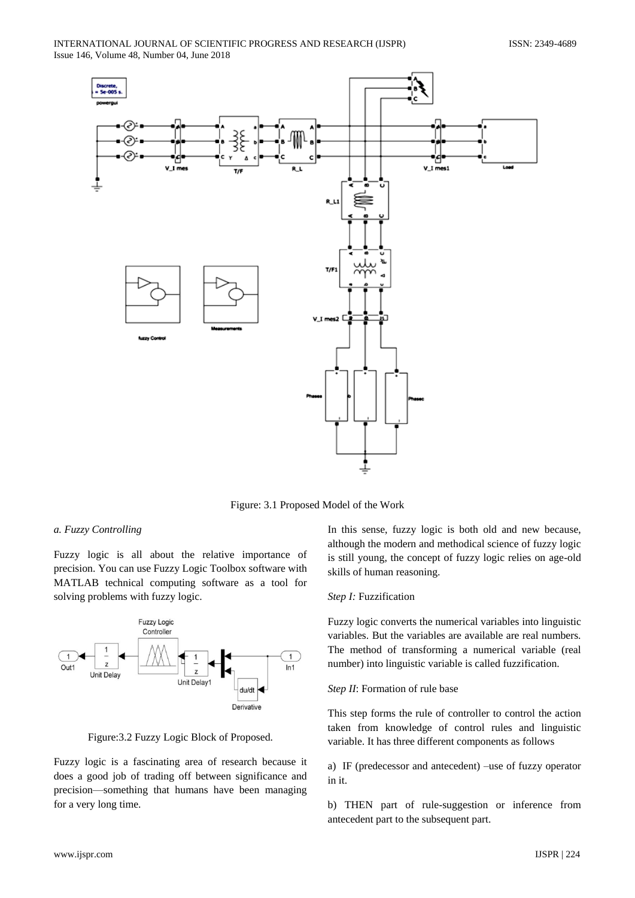

Figure: 3.1 Proposed Model of the Work

## *a. Fuzzy Controlling*

Fuzzy logic is all about the relative importance of precision. You can use Fuzzy Logic Toolbox software with MATLAB technical computing software as a tool for solving problems with fuzzy logic.



Figure:3.2 Fuzzy Logic Block of Proposed.

Fuzzy logic is a fascinating area of research because it does a good job of trading off between significance and precision—something that humans have been managing for a very long time.

In this sense, fuzzy logic is both old and new because, although the modern and methodical science of fuzzy logic is still young, the concept of fuzzy logic relies on age-old skills of human reasoning.

## *Step I:* Fuzzification

Fuzzy logic converts the numerical variables into linguistic variables. But the variables are available are real numbers. The method of transforming a numerical variable (real number) into linguistic variable is called fuzzification.

## *Step II*: Formation of rule base

This step forms the rule of controller to control the action taken from knowledge of control rules and linguistic variable. It has three different components as follows

a) IF (predecessor and antecedent) –use of fuzzy operator in it.

b) THEN part of rule-suggestion or inference from antecedent part to the subsequent part.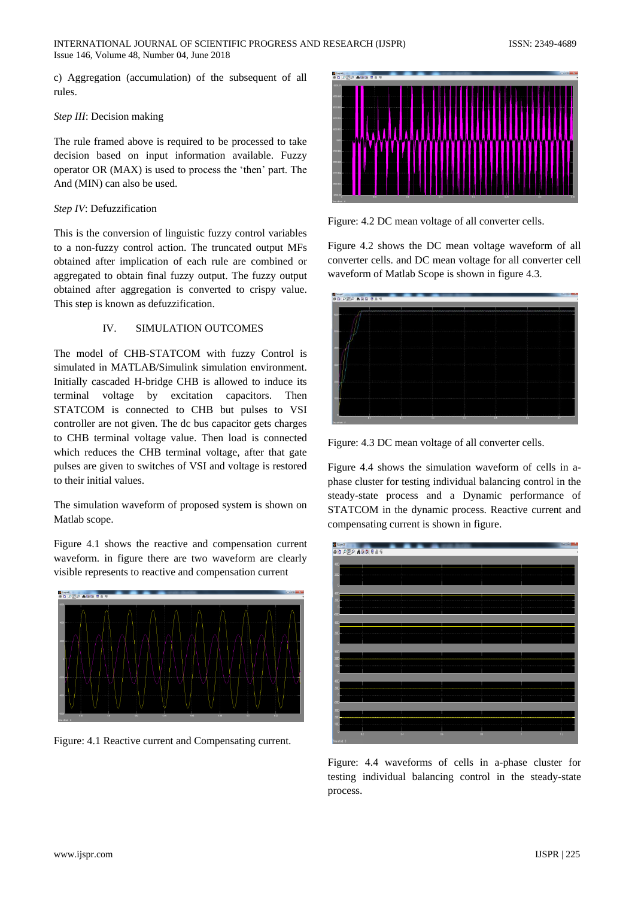c) Aggregation (accumulation) of the subsequent of all rules.

## *Step III*: Decision making

The rule framed above is required to be processed to take decision based on input information available. Fuzzy operator OR (MAX) is used to process the 'then' part. The And (MIN) can also be used.

## *Step IV*: Defuzzification

This is the conversion of linguistic fuzzy control variables to a non-fuzzy control action. The truncated output MFs obtained after implication of each rule are combined or aggregated to obtain final fuzzy output. The fuzzy output obtained after aggregation is converted to crispy value. This step is known as defuzzification.

## IV. SIMULATION OUTCOMES

The model of CHB-STATCOM with fuzzy Control is simulated in MATLAB/Simulink simulation environment. Initially cascaded H-bridge CHB is allowed to induce its terminal voltage by excitation capacitors. Then STATCOM is connected to CHB but pulses to VSI controller are not given. The dc bus capacitor gets charges to CHB terminal voltage value. Then load is connected which reduces the CHB terminal voltage, after that gate pulses are given to switches of VSI and voltage is restored to their initial values.

The simulation waveform of proposed system is shown on Matlab scope.

Figure 4.1 shows the reactive and compensation current waveform. in figure there are two waveform are clearly visible represents to reactive and compensation current



Figure: 4.1 Reactive current and Compensating current.



Figure: 4.2 DC mean voltage of all converter cells.

Figure 4.2 shows the DC mean voltage waveform of all converter cells. and DC mean voltage for all converter cell waveform of Matlab Scope is shown in figure 4.3.



Figure: 4.3 DC mean voltage of all converter cells.

Figure 4.4 shows the simulation waveform of cells in aphase cluster for testing individual balancing control in the steady-state process and a Dynamic performance of STATCOM in the dynamic process. Reactive current and compensating current is shown in figure.



Figure: 4.4 waveforms of cells in a-phase cluster for testing individual balancing control in the steady-state process.